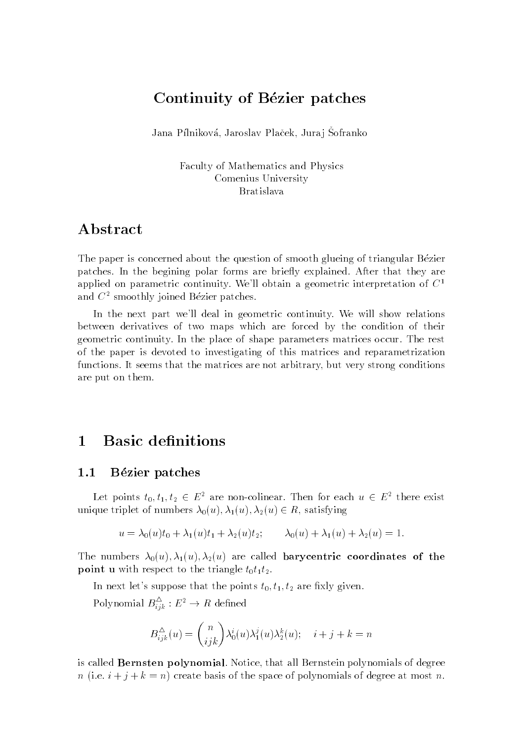# Continuity of Bézier patches

Jana I minkova, Jaroslav I lacek, Jura j Sofranko

Faculty of Mathematics and Physics Comenius University Bratislava

## Abstract

The paper is concerned about the question of smooth glueing of triangular Bezier patches. In the begining polar forms are briefly explained. After that they are applied on parametric continuity. We'll obtain a geometric interpretation of  $C<sup>1</sup>$ and  $C<sup>2</sup>$  smoothly joined Bézier patches.

In the next part we'll deal in geometric continuity. We will show relations between derivatives of two maps which are forced by the condition of their geometric continuity. In the place of shape parameters matrices occur. The rest of the paper is devoted to investigating of this matrices and reparametrization functions. It seems that the matrices are not arbitrary, but very strong conditions are put on them.

## 1 Basic definitions

#### 1.1 Bézier patches

Let points  $t_0, t_1, t_2 \in E^2$  are non-colinear. Then for each  $u \in E^2$  there exist unique triplet of numbers  $\lambda_0(u), \lambda_1(u), \lambda_2(u) \in R$ , satisfying

$$
u = \lambda_0(u)t_0 + \lambda_1(u)t_1 + \lambda_2(u)t_2; \qquad \lambda_0(u) + \lambda_1(u) + \lambda_2(u) = 1.
$$

The numbers  $\lambda_0(u), \lambda_1(u), \lambda_2(u)$  are called **barycentric coordinates of the point u** with respect to the triangle  $t_0t_1t_2$ .

In next let's suppose that the points  $t_0, t_1, t_2$  are fixly given.

Polynomial  $B_{iik}^- : E^* \to K$  defined

$$
B_{ijk}^{\Delta}(u) = {n \choose ijk} \lambda_0^i(u) \lambda_1^j(u) \lambda_2^k(u); \quad i+j+k=n
$$

is called Bernsten polynomial. Notice, that all Bernstein polynomials of degree n (i.e.  $i + j + k = n$ ) create basis of the space of polynomials of degree at most n.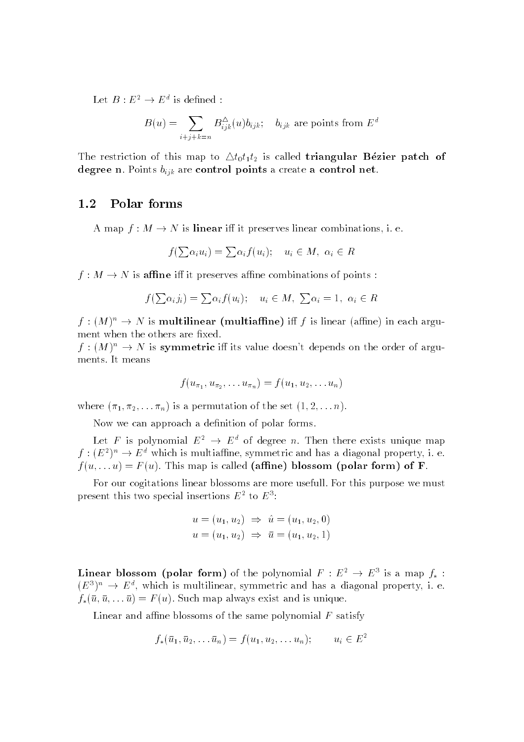Let  $D: E^- \to E^-$  is defined :

$$
B(u) = \sum_{i+j+k=n} B_{ijk}^{\Delta}(u) b_{ijk}; \quad b_{ijk} \text{ are points from } E^d
$$

The restriction of this map to  $\triangle t_0t_1t_2$  is called **triangular Bézier patch of** degree n. Points  $b_{ijk}$  are control points a create a control net.

#### 1.2 Polar forms

A map  $f : M \to N$  is **linear** iff it preserves linear combinations, i. e.

$$
f(\sum \alpha_i u_i) = \sum \alpha_i f(u_i); \quad u_i \in M, \ \alpha_i \in R
$$

 $f: M \to N$  is affine iff it preserves affine combinations of points:

$$
f(\sum \alpha_i j_i) = \sum \alpha_i f(u_i); \quad u_i \in M, \ \sum \alpha_i = 1, \ \alpha_i \in R
$$

 $f : (M)^n \to N$  is multilinear (multiaffine) iff f is linear (affine) in each argument when the others are fixed.

 $f : (M)^n \to N$  is symmetric iff its value doesn't depends on the order of arguments. It means

$$
f(u_{\pi_1}, u_{\pi_2}, \ldots u_{\pi_n}) = f(u_1, u_2, \ldots u_n)
$$

where  $(\pi_1, \pi_2, \ldots, \pi_n)$  is a permutation of the set  $(1, 2, \ldots n)$ .

Now we can approach a definition of polar forms.

Let F is polynomial  $E^2 \rightarrow E^d$  of degree n. Then there exists unique map  $f:(E^2)^n \to E^d$  which is multiaffine, symmetric and has a diagonal property, i. e.  $f(u, \ldots u) = F(u)$ . This map is called (affine) blossom (polar form) of F.

For our cogitations linear blossoms are more usefull. For this purpose we must present this two special insertions  $E^-$  to  $E^-$ :

$$
u = (u_1, u_2) \implies \hat{u} = (u_1, u_2, 0)
$$
  

$$
u = (u_1, u_2) \implies \bar{u} = (u_1, u_2, 1)
$$

**Linear blossom (polar form)** of the polynomial  $F : E^+ \rightarrow E^+$  is a map  $f_* : E^+ \rightarrow E^ (E^+)^n \rightarrow E^+,$  which is multilinear, symmetric and has a diagonal property, i. e.  $f_*(\bar{u}, \bar{u}, \ldots \bar{u}) = F(u)$ . Such map always exist and is unique.

Linear and affine blossoms of the same polynomial  $F$  satisfy

$$
f_*(\bar u_1,\bar u_2,\dots \bar u_n)=f(u_1,u_2,\dots u_n); \qquad u_i\in E^2
$$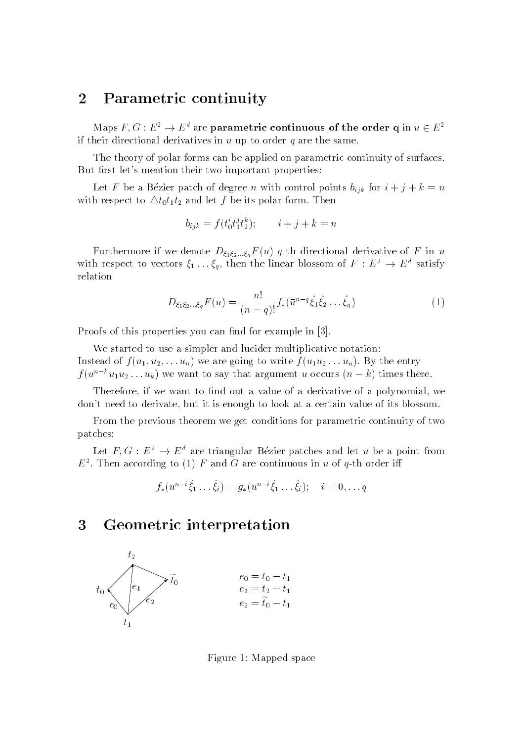# <sup>2</sup> Parametric continuity

Maps F, G :  $E^-\rightarrow E^+$  are parametric continuous of the order q in  $u\in E^$ if their directional derivatives in <sup>u</sup> up to order <sup>q</sup> are the same.

The theory of polar forms can be applied on parametric continuity of surfaces.But first let's mention their two important properties:

Let F be a Dezier patch of degree n with control points  $v_{ijk}$  for  $i \pm j \mp k = n$ with respect to  $\Delta t_0 t_1 t_2$  and let f be its polar form. Then

$$
b_{ijk} = f(t_0^i t_1^j t_2^k); \qquad i+j+k=n
$$

Furthermore if we denote  $D_{\xi_1\xi_2...\xi_q}F(u)$  q-th directional derivative of F in u with respect to vectors  $\xi_1 \ldots \xi_q$ , then the linear blossom of  $F : E^* \to E^*$  satisfy relation

$$
D_{\xi_1 \xi_2 \dots \xi_q} F(u) = \frac{n!}{(n-q)!} f_*(\bar{u}^{n-q} \hat{\xi}_1 \hat{\xi}_2 \dots \hat{\xi}_q)
$$
(1)

Proofs of this properties you can find for example in [3].

We started to use a simpler and lucider multiplicative notation:Instead of  $f(u_1, u_2, \ldots u_n)$  we are going to write  $f(u_1u_2 \ldots u_n)$ . By the entry  $f(u^2 - u_1u_2 \ldots u_k)$  we want to say that argument u occurs  $(n - \kappa)$  times there.

Therefore, if we want to find out a value of a derivative of a polynomial, we don't need to derivate, but it is enough to look at a certain value of its blossom.

From the previous theorem we get conditions for parametric continuity of twopatches:

Let  $F,G : E^* \to E^*$  are triangular Bezier patches and let u be a point from  $E^-$ . Then according to (1)  $\varGamma$  and G are continuous in  $u$  of  $q$  th order iii

$$
f_*(\bar{u}^{n-i}\hat{\xi}_1 \dots \hat{\xi}_i) = g_*(\bar{u}^{n-i}\hat{\xi}_1 \dots \hat{\xi}_i); \quad i = 0, \dots q
$$

### <sup>3</sup> Geometric interpretation



Figure 1: Mapped space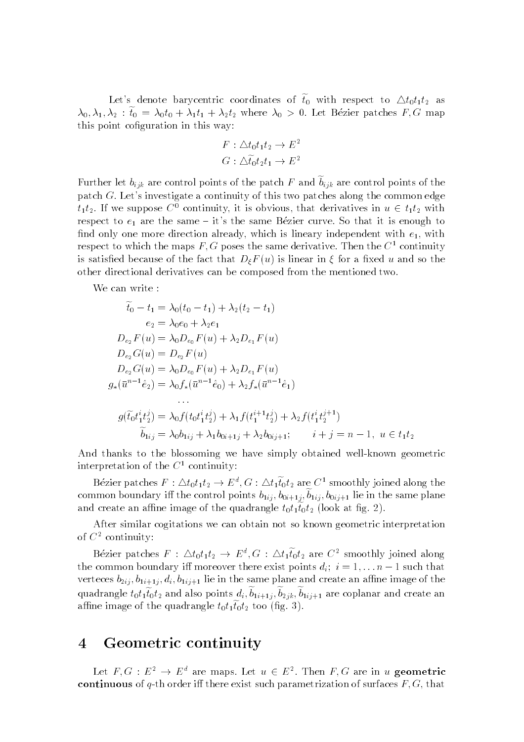Let's denote barycentric coordinates of  $t_0$  with respect to  $\triangle t_0 t_1 t_2$  as  $\lambda_0, \lambda_1, \lambda_2 : \tilde{t}_0 = \lambda_0 t_0 + \lambda_1 t_1 + \lambda_2 t_2$  where  $\lambda_0 > 0$ . Let Bézier patches F, G map this point cofiguration in this way:

$$
F: \triangle t_0 t_1 t_2 \to E^2
$$
  

$$
G: \triangle t_0 t_2 t_1 \to E^2
$$

Further let  $b_{ijk}$  are control points of the patch F and  $\widetilde{b}_{ijk}$  are control points of the patch G. Let's investigate a continuity of this two patches along the common edge  $t_1t_2$ . If we suppose  $C^0$  continuity, it is obvious, that derivatives in  $u \in t_1t_2$  with respect to  $e_1$  are the same - it's the same Bezier curve. So that it is enough to find only one more direction already, which is lineary independent with  $e_1$ , with respect to which the maps  $F, G$  poses the same derivative. Then the  $C<sup>1</sup>$  continuity is satisfied because of the fact that  $D_{\xi}F(u)$  is linear in  $\xi$  for a fixed u and so the other directional derivatives can be composed from the mentioned two.

We can write :

$$
\tilde{t}_0 - t_1 = \lambda_0 (t_0 - t_1) + \lambda_2 (t_2 - t_1)
$$
\n
$$
e_2 = \lambda_0 e_0 + \lambda_2 e_1
$$
\n
$$
D_{e_2} F(u) = \lambda_0 D_{e_0} F(u) + \lambda_2 D_{e_1} F(u)
$$
\n
$$
D_{e_2} G(u) = D_{e_2} F(u)
$$
\n
$$
D_{e_2} G(u) = \lambda_0 D_{e_0} F(u) + \lambda_2 D_{e_1} F(u)
$$
\n
$$
g_*(\bar{u}^{n-1} \hat{e}_2) = \lambda_0 f_*(\bar{u}^{n-1} \hat{e}_0) + \lambda_2 f_*(\bar{u}^{n-1} \hat{e}_1)
$$
\n
$$
\vdots
$$
\n
$$
g(\tilde{t}_0 t_1^i t_2^j) = \lambda_0 f(t_0 t_1^i t_2^j) + \lambda_1 f(t_1^{i+1} t_2^j) + \lambda_2 f(t_1^i t_2^{j+1})
$$
\n
$$
\tilde{b}_{1ij} = \lambda_0 b_{1ij} + \lambda_1 b_{0i+1j} + \lambda_2 b_{0ij+1}; \qquad i + j = n - 1, \ u \in t_1 t_2
$$

And thanks to the blossoming we have simply obtained well-known geometric interpretation of the  $C^1$  continuity:

Bezier patches  $F : \triangle \cup_{0} \ell_{1} \ell_{2} \to E^{*}, G : \triangle \ell_{1} \ell_{0} \ell_{2}$  are  $C^{*}$  smoothly joined along the common boundary iff the control points  $b_{1ij}$ ,  $b_{0i+1j}$ ,  $b_{1ij}$ ,  $b_{0ij+1}$  lie in the same plane and create an annie miage of the quadrangie  $\iota_0\iota_1\iota_0\iota_2$  (look at fig. 2).

After similar cogitations we can obtain not so known geometric interpretation of  $C^2$  continuity:

Bezier patches  $F : \triangle t_0 t_1 t_2 \to E^*$ ,  $G : \triangle t_1 t_0 t_2$  are  $C^*$  smoothly joined along the common boundary iff moreover there exist points  $d_i$ ;  $i = 1, \ldots n-1$  such that verteces  $b_{2ij}$ ,  $b_{1i+1j}$ ,  $d_i$ ,  $b_{1ij+1}$  lie in the same plane and create an affine image of the quadrangle  $t_0t_1t_0t_2$  and also points  $a_i, o_{1i+1i}, o_{2ik}, o_{1i+1}$  are coplanar and create an anine image of the quadrangie  $\iota_0\iota_1\iota_0\iota_2$  too (iig. 5).

# <sup>4</sup> Geometric continuity

Let  $F,G : E^2 \to E^d$  are maps. Let  $u \in E^2$ . Then  $F,G$  are in u geometric continuous of q-th order iff there exist such parametrization of surfaces  $F, G$ , that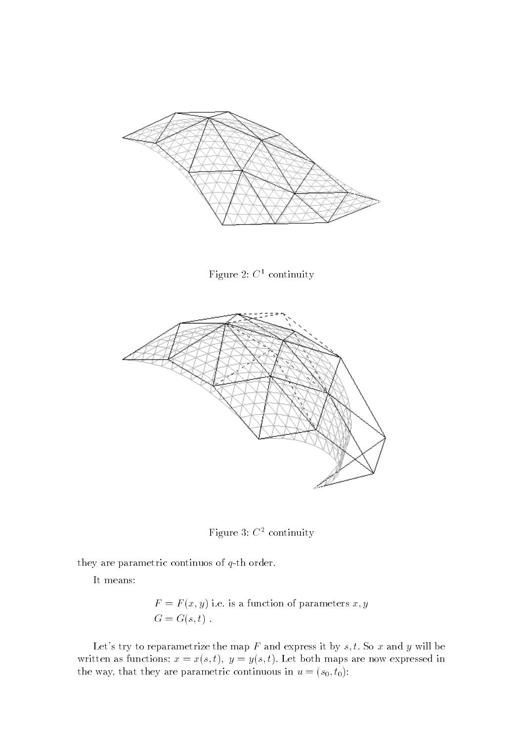





Figure 3: <sup>C</sup><sup>2</sup> continuity

they are parametric continuos of <sup>q</sup>-th order.

It means:

$$
F = F(x, y)
$$
 i.e. is a function of parameters  $x, y$   

$$
G = G(s, t)
$$
.

Let's try to reparametrize the map F and express it by s, t. So x and y will be written as functions,  $x = x(s, t)$ ;  $y = y(s, t)$ , let both maps are now expressed in the way, that they are parametric continuous in  $u = (s_0, t_0)$ .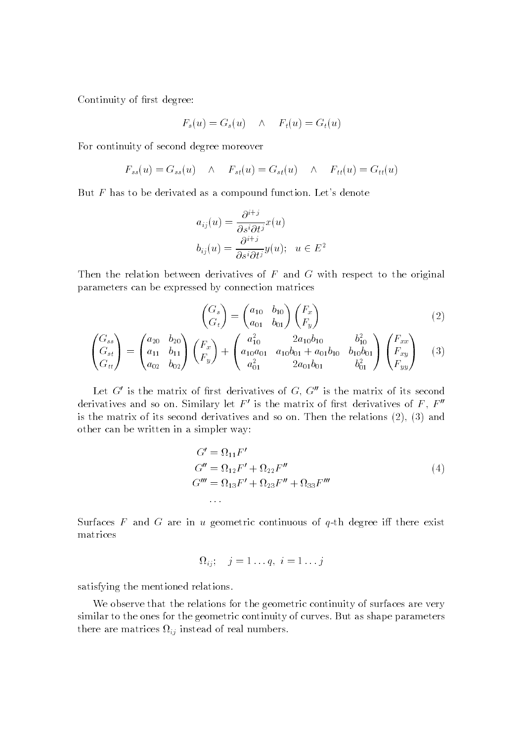Continuity of first degree:

$$
F_s(u) = G_s(u) \quad \wedge \quad F_t(u) = G_t(u)
$$

For continuity of second degree moreover

$$
F_{ss}(u) = G_{ss}(u) \quad \wedge \quad F_{st}(u) = G_{st}(u) \quad \wedge \quad F_{tt}(u) = G_{tt}(u)
$$

But  $F$  has to be derivated as a compound function. Let's denote

$$
a_{ij}(u) = \frac{\partial^{i+j}}{\partial s^i \partial t^j} x(u)
$$
  

$$
b_{ij}(u) = \frac{\partial^{i+j}}{\partial s^i \partial t^j} y(u); \quad u \in E^2
$$

Then the relation between derivatives of <sup>F</sup> and <sup>G</sup> with respect to the original parameters can be expressed by connection matrices

$$
\begin{pmatrix} G_s \\ G_t \end{pmatrix} = \begin{pmatrix} a_{10} & b_{10} \\ a_{01} & b_{01} \end{pmatrix} \begin{pmatrix} F_x \\ F_y \end{pmatrix}
$$
\n(2)

$$
\begin{pmatrix} G_{ss} \\ G_{st} \\ G_{tt} \end{pmatrix} = \begin{pmatrix} a_{20} & b_{20} \\ a_{11} & b_{11} \\ a_{02} & b_{02} \end{pmatrix} \begin{pmatrix} F_x \\ F_y \end{pmatrix} + \begin{pmatrix} a_{10}^2 & 2a_{10}b_{10} & b_{10}^2 \\ a_{10}a_{01} & a_{10}b_{01} + a_{01}b_{10} & b_{10}b_{01} \\ a_{01}^2 & 2a_{01}b_{01} & b_{01}^2 \end{pmatrix} \begin{pmatrix} F_{xx} \\ F_{xy} \\ F_{yy} \end{pmatrix}
$$
(3)

Let  $\rm{G}$  is the matrix of first derivatives of  $\rm{G}$ ,  $\rm{G}$  is the matrix of its second derivatives and so on, Similary let  $\varGamma$  is the matrix of first derivatives of  $\varGamma$  ,  $\varGamma$ is the matrix of its second derivatives and so on. Then the relations (2), (3) andother can be written in a simpler way:

$$
G' = \Omega_{11} F'
$$
  
\n
$$
G'' = \Omega_{12} F' + \Omega_{22} F''
$$
  
\n
$$
G''' = \Omega_{13} F' + \Omega_{23} F''' + \Omega_{33} F'''
$$
  
\n... (4)

 $S$ urraces  $F$  and  $G$  are in  $u$  geometric continuous of  $q$ -th degree in there exist matrices

$$
\Omega_{ij}; \quad j=1 \ldots q, \ i=1 \ldots j
$$

satisfying the mentioned relations.

We observe that the relations for the geometric continuity of surfaces are very similar to the ones for the geometric continuity of curves. But as shape parametersthere are matrices  $\Omega_{ij}$  instead of real numbers.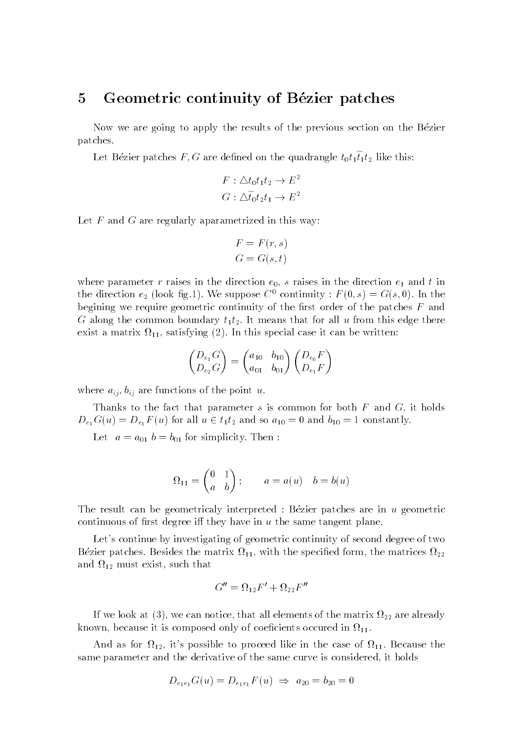### 5 Geometric continuity of Bézier patches

Now we are going to apply the results of the previous section on the Bezier patches.

Let Dezier patches  $T, G$  are defined on the quadrangle  $\iota_0 \iota_1 \iota_1 \iota_2$  like this.

$$
F: \triangle t_0 t_1 t_2 \to E^2
$$
  

$$
G: \triangle t_0 t_2 t_1 \to E^2
$$

Let  $F$  and  $G$  are regularly aparametrized in this way:

$$
F = F(r, s)
$$

$$
G = G(s, t)
$$

where parameter r raises in the direction  $e_0$ , s raises in the direction  $e_1$  and t in the direction  $e_2$  (look fig.1). We suppose  $C^0$  continuity :  $F(0, s) = G(s, 0)$ . In the begining we require geometric continuity of the first order of the patches  $F$  and G along the common boundary  $t_1t_2$ . It means that for all u from this edge there exist a matrix  $\mathbf{1}_{1}$  and  $\mathbf{2}_{2}$  and  $\mathbf{2}_{3}$  and  $\mathbf{2}_{4}$  and  $\mathbf{2}_{5}$  and  $\mathbf{2}_{6}$  and  $\mathbf{2}_{7}$  and  $\mathbf{2}_{8}$  and  $\mathbf{2}_{9}$  and  $\mathbf{2}_{9}$  and  $\mathbf{2}_{9}$  and  $\mathbf{2}_{9}$  and  $\mathbf{2}_{9}$  and  $\mathbf{2}_{9}$ 

$$
\begin{pmatrix} D_{e_1} G \\ D_{e_2} G \end{pmatrix} = \begin{pmatrix} a_{10} & b_{10} \\ a_{01} & b_{01} \end{pmatrix} \begin{pmatrix} D_{e_0} F \\ D_{e_1} F \end{pmatrix}
$$

where  $a_{ij}, b_{ij}$  are functions of the point u.

Thanks to the fact that parameter  $s$  is common for both  $F$  and  $G$ , it holds  $D_{e_1}G(u) = D_{e_1}F(u)$  for all  $u \in t_1t_2$  and so  $a_{10} = 0$  and  $b_{10} = 1$  constantly.

Let  $a = a_{01} b = b_{01}$  for simplicity. Then:

$$
\Omega_{11} = \begin{pmatrix} 0 & 1 \\ a & b \end{pmatrix}; \qquad a = a(u) \quad b = b(u)
$$

The result can be geometricaly interpreted : Bézier patches are in  $u$  geometric continuous of first degree iff they have in  $u$  the same tangent plane.

Let's continue by investigating of geometric continuity of second degree of two  $\frac{1}{2}$  , with the matrix  $\frac{1}{2}$  , with the special form, the matrix  $\frac{1}{2}$ and is a proposed to the such that the such that  $\mathcal{L}_\mathbf{A}$ 

$$
G'' = \Omega_{12}F' + \Omega_{22}F''
$$

If we look at (3), we can notice, that all elements of the matrix <sup>22</sup> are already known, because it is composed on the component of coefficients of coefficients of coefficients of  $\mathbf{11}$  .

And as for  $\Omega_{12}$ , it's possible to proceed like in the case of  $\Omega_{11}$ . Because the same parameter and the derivative of the same curve is considered, it holds

$$
D_{e_1e_1}G(u) = D_{e_1e_1}F(u) \Rightarrow a_{20} = b_{20} = 0
$$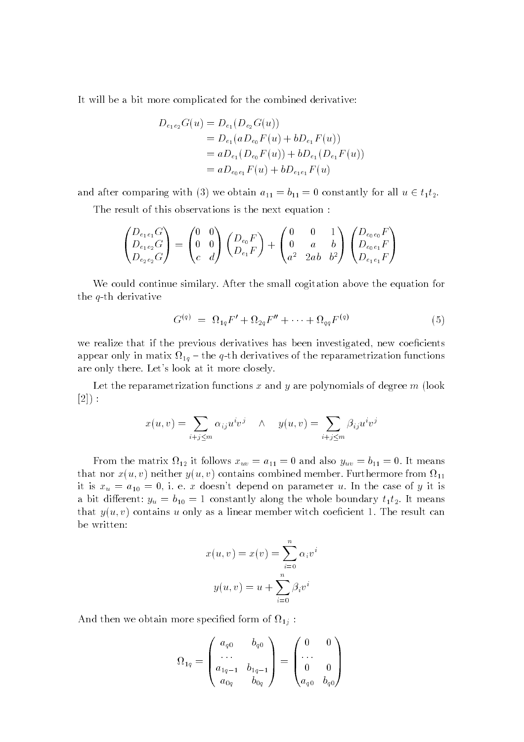It will be a bit more complicated for the combined derivative:

$$
D_{e_1e_2}G(u) = D_{e_1}(D_{e_2}G(u))
$$
  
=  $D_{e_1}(aD_{e_0}F(u) + bD_{e_1}F(u))$   
=  $aD_{e_1}(D_{e_0}F(u)) + bD_{e_1}(D_{e_1}F(u))$   
=  $aD_{e_0e_1}F(u) + bD_{e_1e_1}F(u)$ 

and after comparing with (3) we obtain  $a_{11} = b_{11} = 0$  constantly for all  $u \in t_1 t_2$ .

The result of this observations is the next equation :

$$
\begin{pmatrix} D_{e_1e_1}G \\ D_{e_1e_2}G \\ D_{e_2e_2}G \end{pmatrix} = \begin{pmatrix} 0 & 0 \\ 0 & 0 \\ c & d \end{pmatrix} \begin{pmatrix} D_{e_0}F \\ D_{e_1}F \end{pmatrix} + \begin{pmatrix} 0 & 0 & 1 \\ 0 & a & b \\ a^2 & 2ab & b^2 \end{pmatrix} \begin{pmatrix} D_{e_0e_0}F \\ D_{e_0e_1}F \\ D_{e_1e_1}F \end{pmatrix}
$$

We could continue similary. After the small cogitation above the equation for the q-th derivative

$$
G^{(q)} = \Omega_{1q} F' + \Omega_{2q} F'' + \dots + \Omega_{qq} F^{(q)} \tag{5}
$$

we realize that if the previous derivatives has been investigated, new coeficients appears only in matrices of  $\mathbf{10}$  , the derivatives of the reparametrization functions of the reparametrization are only there. Let's look at it more closely.

Let the reparametrization functions  $x$  and  $y$  are polynomials of degree  $m$  (look  $[2]):$ 

$$
x(u, v) = \sum_{i+j \le m} \alpha_{ij} u^i v^j \quad \wedge \quad y(u, v) = \sum_{i+j \le m} \beta_{ij} u^i v^j
$$

From the matrix  $\mathbf{1}_2$  is follows  $\mathbf{1}_w$  =  $\mathbf{1}_1$  = 0. It means  $\mathbf{1}_w$  =  $\mathbf{1}_1$  = 0. It measures  $\alpha$  and  $\alpha$  ( $\alpha$ )  $\beta$  neither  $\alpha$ )  $\alpha$ ) contains combined member. Furthermore from  $\alpha$  [1] it is  $x_u = a_{10} = 0$ , i. e. x doesn't depend on parameter u. In the case of y it is a bit different:  $y_u = b_{10} = 1$  constantly along the whole boundary  $t_1 t_2$ . It means that  $y(u, v)$  contains u only as a linear member witch coeficient 1. The result can be written:

$$
x(u, v) = x(v) = \sum_{i=0}^{n} \alpha_i v^i
$$

$$
y(u, v) = u + \sum_{i=0}^{n} \beta_i v^i
$$

And then we obtain more specied form of 1j :

$$
\Omega_{1q} = \begin{pmatrix} a_{q0} & b_{q0} \\ \dots \\ a_{1q-1} & b_{1q-1} \\ a_{0q} & b_{0q} \end{pmatrix} = \begin{pmatrix} 0 & 0 \\ \dots \\ 0 & 0 \\ a_{q0} & b_{q0} \end{pmatrix}
$$